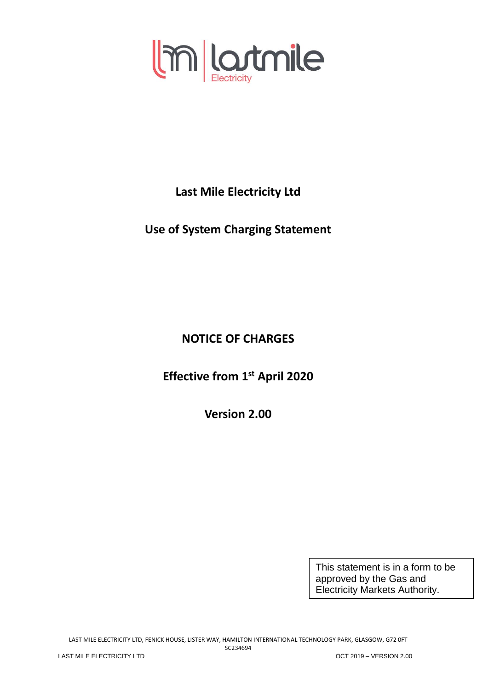

**Last Mile Electricity Ltd**

**Use of System Charging Statement**

**NOTICE OF CHARGES**

**Effective from 1 st April 2020**

**Version 2.00**

This statement is in a form to be approved by the Gas and Electricity Markets Authority.

LAST MILE ELECTRICITY LTD, FENICK HOUSE, LISTER WAY, HAMILTON INTERNATIONAL TECHNOLOGY PARK, GLASGOW, G72 0FT SC234694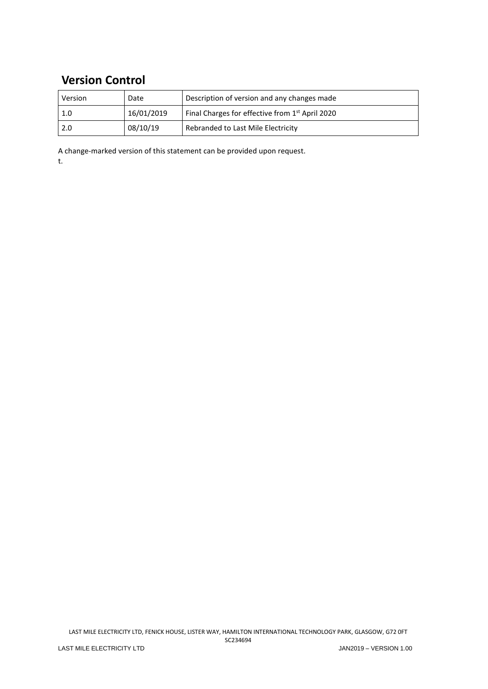# **Version Control**

| Version | Date       | Description of version and any changes made                 |
|---------|------------|-------------------------------------------------------------|
| 1.0     | 16/01/2019 | Final Charges for effective from 1 <sup>st</sup> April 2020 |
| 2.0     | 08/10/19   | Rebranded to Last Mile Electricity                          |

A change-marked version of this statement can be provided upon request. t.

LAST MILE ELECTRICITY LTD, FENICK HOUSE, LISTER WAY, HAMILTON INTERNATIONAL TECHNOLOGY PARK, GLASGOW, G72 0FT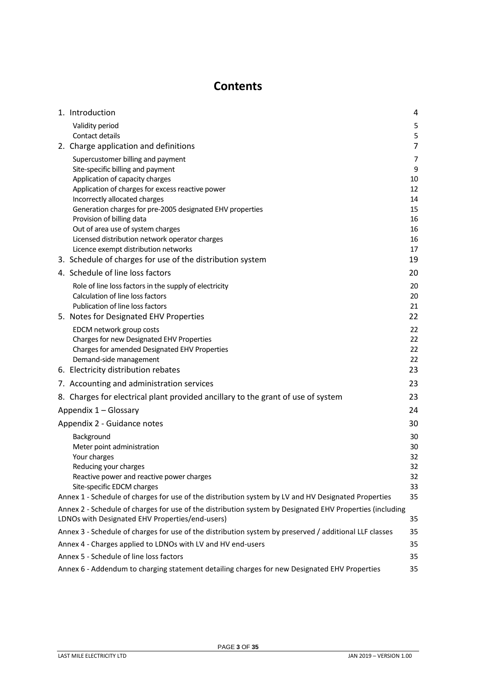# **Contents**

<span id="page-2-0"></span>

| 1. Introduction                                                                                                                                             | 4              |
|-------------------------------------------------------------------------------------------------------------------------------------------------------------|----------------|
| Validity period                                                                                                                                             | 5              |
| Contact details                                                                                                                                             | 5              |
| 2. Charge application and definitions                                                                                                                       | $\overline{7}$ |
| Supercustomer billing and payment                                                                                                                           | $\overline{7}$ |
| Site-specific billing and payment                                                                                                                           | 9              |
| Application of capacity charges                                                                                                                             | 10             |
| Application of charges for excess reactive power                                                                                                            | 12             |
| Incorrectly allocated charges<br>Generation charges for pre-2005 designated EHV properties                                                                  | 14<br>15       |
| Provision of billing data                                                                                                                                   | 16             |
| Out of area use of system charges                                                                                                                           | 16             |
| Licensed distribution network operator charges                                                                                                              | 16             |
| Licence exempt distribution networks                                                                                                                        | 17             |
| 3. Schedule of charges for use of the distribution system                                                                                                   | 19             |
| 4. Schedule of line loss factors                                                                                                                            | 20             |
| Role of line loss factors in the supply of electricity                                                                                                      | 20             |
| Calculation of line loss factors                                                                                                                            | 20             |
| Publication of line loss factors                                                                                                                            | 21             |
| 5. Notes for Designated EHV Properties                                                                                                                      | 22             |
| EDCM network group costs                                                                                                                                    | 22             |
| Charges for new Designated EHV Properties                                                                                                                   | 22<br>22       |
| Charges for amended Designated EHV Properties<br>Demand-side management                                                                                     | 22             |
| 6. Electricity distribution rebates                                                                                                                         | 23             |
| 7. Accounting and administration services                                                                                                                   | 23             |
| 8. Charges for electrical plant provided ancillary to the grant of use of system                                                                            | 23             |
| Appendix 1 - Glossary                                                                                                                                       | 24             |
|                                                                                                                                                             |                |
| Appendix 2 - Guidance notes                                                                                                                                 | 30             |
| Background                                                                                                                                                  | 30             |
| Meter point administration<br>Your charges                                                                                                                  | 30<br>32       |
| Reducing your charges                                                                                                                                       | 32             |
| Reactive power and reactive power charges                                                                                                                   | 32             |
| Site-specific EDCM charges                                                                                                                                  | 33             |
| Annex 1 - Schedule of charges for use of the distribution system by LV and HV Designated Properties                                                         | 35             |
| Annex 2 - Schedule of charges for use of the distribution system by Designated EHV Properties (including<br>LDNOs with Designated EHV Properties/end-users) | 35             |
| Annex 3 - Schedule of charges for use of the distribution system by preserved / additional LLF classes                                                      | 35             |
| Annex 4 - Charges applied to LDNOs with LV and HV end-users                                                                                                 | 35             |
| Annex 5 - Schedule of line loss factors                                                                                                                     | 35             |
| Annex 6 - Addendum to charging statement detailing charges for new Designated EHV Properties                                                                | 35             |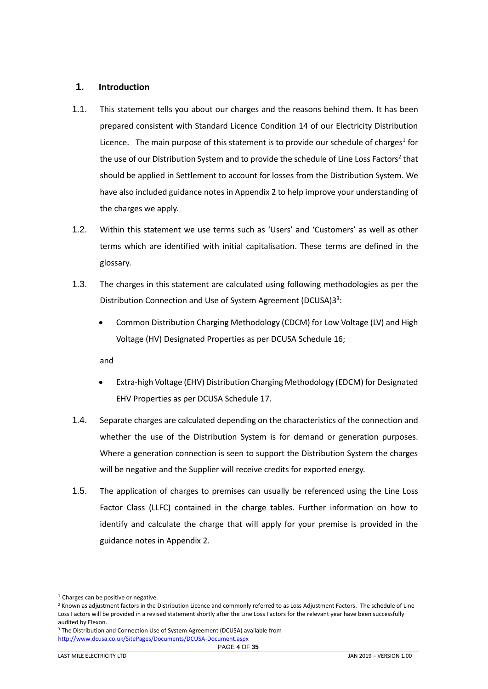# <span id="page-3-0"></span>**1. Introduction**

- 1.1. This statement tells you about our charges and the reasons behind them. It has been prepared consistent with Standard Licence Condition 14 of our Electricity Distribution Licence. The main purpose of this statement is to provide our schedule of charges<sup>1</sup> for the use of our Distribution System and to provide the schedule of Line Loss Factors<sup>2</sup> that should be applied in Settlement to account for losses from the Distribution System. We have also included guidance notes in Appendix 2 to help improve your understanding of the charges we apply.
- 1.2. Within this statement we use terms such as 'Users' and 'Customers' as well as other terms which are identified with initial capitalisation. These terms are defined in the glossary.
- 1.3. The charges in this statement are calculated using following methodologies as per the Distribution Connection and Use of System Agreement (DCUSA)33:
	- Common Distribution Charging Methodology (CDCM) for Low Voltage (LV) and High Voltage (HV) Designated Properties as per DCUSA Schedule 16;

and

- Extra-high Voltage (EHV) Distribution Charging Methodology (EDCM) for Designated EHV Properties as per DCUSA Schedule 17.
- 1.4. Separate charges are calculated depending on the characteristics of the connection and whether the use of the Distribution System is for demand or generation purposes. Where a generation connection is seen to support the Distribution System the charges will be negative and the Supplier will receive credits for exported energy.
- 1.5. The application of charges to premises can usually be referenced using the Line Loss Factor Class (LLFC) contained in the charge tables. Further information on how to identify and calculate the charge that will apply for your premise is provided in the guidance notes in Appendix 2.

<sup>3</sup> The Distribution and Connection Use of System Agreement (DCUSA) available from <http://www.dcusa.co.uk/SitePages/Documents/DCUSA-Document.aspx>

l  $<sup>1</sup>$  Charges can be positive or negative.</sup>

<sup>&</sup>lt;sup>2</sup> Known as adjustment factors in the Distribution Licence and commonly referred to as Loss Adjustment Factors. The schedule of Line Loss Factors will be provided in a revised statement shortly after the Line Loss Factors for the relevant year have been successfully audited by Elexon.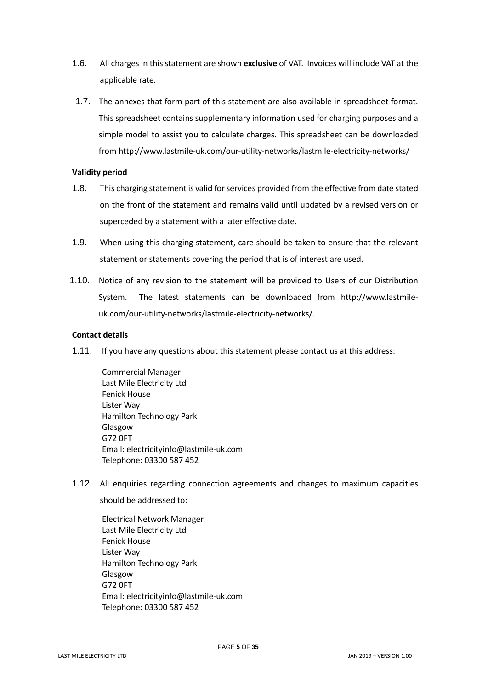- 1.6. All charges in this statement are shown **exclusive** of VAT. Invoices will include VAT at the applicable rate.
- 1.7. The annexes that form part of this statement are also available in spreadsheet format. This spreadsheet contains supplementary information used for charging purposes and a simple model to assist you to calculate charges. This spreadsheet can be downloaded from http://www.lastmile-uk.com/our-utility-networks/lastmile-electricity-networks/

### <span id="page-4-0"></span>**Validity period**

- 1.8. This charging statement is valid for services provided from the effective from date stated on the front of the statement and remains valid until updated by a revised version or superceded by a statement with a later effective date.
- 1.9. When using this charging statement, care should be taken to ensure that the relevant statement or statements covering the period that is of interest are used.
- 1.10. Notice of any revision to the statement will be provided to Users of our Distribution System. The latest statements can be downloaded from http://www.lastmileuk.com/our-utility-networks/lastmile-electricity-networks/.

# <span id="page-4-1"></span>**Contact details**

- 1.11. If you have any questions about this statement please contact us at this address:
	- Commercial Manager Last Mile Electricity Ltd Fenick House Lister Way Hamilton Technology Park Glasgow G72 0FT Email: electricityinfo@lastmile-uk.com Telephone: 03300 587 452
- <span id="page-4-2"></span>1.12. All enquiries regarding connection agreements and changes to maximum capacities should be addressed to:

Electrical Network Manager Last Mile Electricity Ltd Fenick House Lister Way Hamilton Technology Park Glasgow G72 0FT Email: electricityinfo@lastmile-uk.com Telephone: 03300 587 452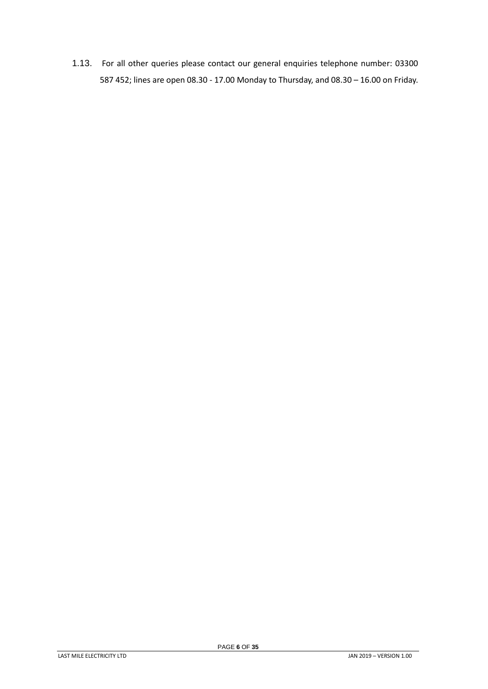1.13. For all other queries please contact our general enquiries telephone number: 03300 587 452; lines are open 08.30 - 17.00 Monday to Thursday, and 08.30 – 16.00 on Friday.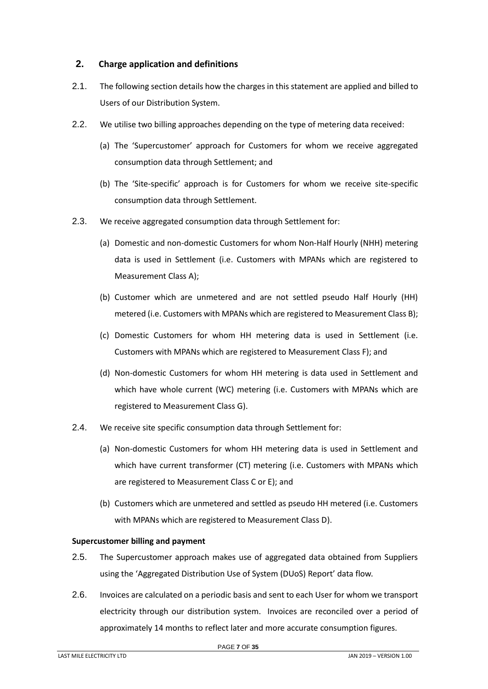# <span id="page-6-0"></span>**2. Charge application and definitions**

- 2.1. The following section details how the charges in this statement are applied and billed to Users of our Distribution System.
- 2.2. We utilise two billing approaches depending on the type of metering data received:
	- (a) The 'Supercustomer' approach for Customers for whom we receive aggregated consumption data through Settlement; and
	- (b) The 'Site-specific' approach is for Customers for whom we receive site-specific consumption data through Settlement.
- 2.3. We receive aggregated consumption data through Settlement for:
	- (a) Domestic and non-domestic Customers for whom Non-Half Hourly (NHH) metering data is used in Settlement (i.e. Customers with MPANs which are registered to Measurement Class A);
	- (b) Customer which are unmetered and are not settled pseudo Half Hourly (HH) metered (i.e. Customers with MPANs which are registered to Measurement Class B);
	- (c) Domestic Customers for whom HH metering data is used in Settlement (i.e. Customers with MPANs which are registered to Measurement Class F); and
	- (d) Non-domestic Customers for whom HH metering is data used in Settlement and which have whole current (WC) metering (i.e. Customers with MPANs which are registered to Measurement Class G).
- 2.4. We receive site specific consumption data through Settlement for:
	- (a) Non-domestic Customers for whom HH metering data is used in Settlement and which have current transformer (CT) metering (i.e. Customers with MPANs which are registered to Measurement Class C or E); and
	- (b) Customers which are unmetered and settled as pseudo HH metered (i.e. Customers with MPANs which are registered to Measurement Class D).

#### <span id="page-6-1"></span>**Supercustomer billing and payment**

- 2.5. The Supercustomer approach makes use of aggregated data obtained from Suppliers using the 'Aggregated Distribution Use of System (DUoS) Report' data flow.
- 2.6. Invoices are calculated on a periodic basis and sent to each User for whom we transport electricity through our distribution system. Invoices are reconciled over a period of approximately 14 months to reflect later and more accurate consumption figures.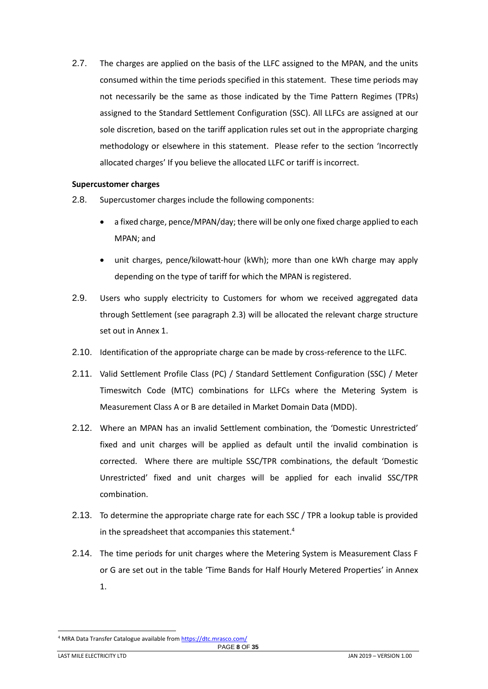2.7. The charges are applied on the basis of the LLFC assigned to the MPAN, and the units consumed within the time periods specified in this statement. These time periods may not necessarily be the same as those indicated by the Time Pattern Regimes (TPRs) assigned to the Standard Settlement Configuration (SSC). All LLFCs are assigned at our sole discretion, based on the tariff application rules set out in the appropriate charging methodology or elsewhere in this statement. Please refer to the section 'Incorrectly allocated charges' If you believe the allocated LLFC or tariff is incorrect.

#### **Supercustomer charges**

- 2.8. Supercustomer charges include the following components:
	- a fixed charge, pence/MPAN/day; there will be only one fixed charge applied to each MPAN; and
	- unit charges, pence/kilowatt-hour (kWh); more than one kWh charge may apply depending on the type of tariff for which the MPAN is registered.
- 2.9. Users who supply electricity to Customers for whom we received aggregated data through Settlement (see paragraph 2.3) will be allocated the relevant charge structure set out in Annex 1.
- 2.10. Identification of the appropriate charge can be made by cross-reference to the LLFC.
- 2.11. Valid Settlement Profile Class (PC) / Standard Settlement Configuration (SSC) / Meter Timeswitch Code (MTC) combinations for LLFCs where the Metering System is Measurement Class A or B are detailed in Market Domain Data (MDD).
- 2.12. Where an MPAN has an invalid Settlement combination, the 'Domestic Unrestricted' fixed and unit charges will be applied as default until the invalid combination is corrected. Where there are multiple SSC/TPR combinations, the default 'Domestic Unrestricted' fixed and unit charges will be applied for each invalid SSC/TPR combination.
- 2.13. To determine the appropriate charge rate for each SSC / TPR a lookup table is provided in the spreadsheet that accompanies this statement. 4
- 2.14. The time periods for unit charges where the Metering System is Measurement Class F or G are set out in the table 'Time Bands for Half Hourly Metered Properties' in Annex 1.

l

PAGE **8** OF **35** <sup>4</sup> MRA Data Transfer Catalogue available fro[m https://dtc.mrasco.com/](https://dtc.mrasco.com/)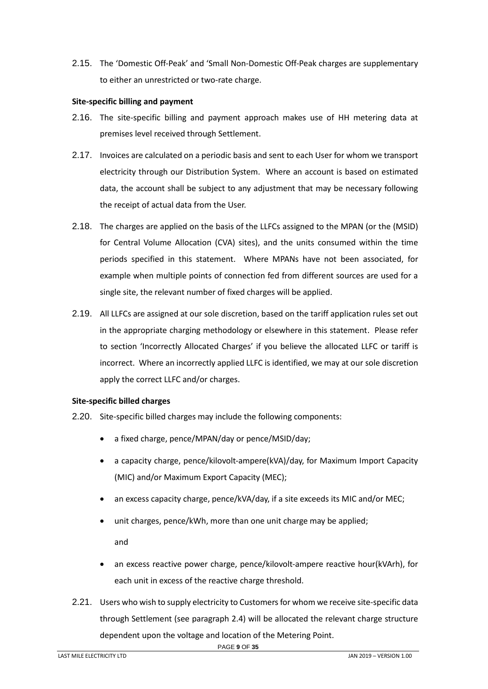2.15. The 'Domestic Off-Peak' and 'Small Non-Domestic Off-Peak charges are supplementary to either an unrestricted or two-rate charge.

#### <span id="page-8-0"></span>**Site-specific billing and payment**

- 2.16. The site-specific billing and payment approach makes use of HH metering data at premises level received through Settlement.
- 2.17. Invoices are calculated on a periodic basis and sent to each User for whom we transport electricity through our Distribution System. Where an account is based on estimated data, the account shall be subject to any adjustment that may be necessary following the receipt of actual data from the User.
- 2.18. The charges are applied on the basis of the LLFCs assigned to the MPAN (or the (MSID) for Central Volume Allocation (CVA) sites), and the units consumed within the time periods specified in this statement. Where MPANs have not been associated, for example when multiple points of connection fed from different sources are used for a single site, the relevant number of fixed charges will be applied.
- 2.19. All LLFCs are assigned at our sole discretion, based on the tariff application rules set out in the appropriate charging methodology or elsewhere in this statement. Please refer to section 'Incorrectly Allocated Charges' if you believe the allocated LLFC or tariff is incorrect. Where an incorrectly applied LLFC is identified, we may at our sole discretion apply the correct LLFC and/or charges.

#### **Site-specific billed charges**

- 2.20. Site-specific billed charges may include the following components:
	- a fixed charge, pence/MPAN/day or pence/MSID/day;
	- a capacity charge, pence/kilovolt-ampere(kVA)/day, for Maximum Import Capacity (MIC) and/or Maximum Export Capacity (MEC);
	- an excess capacity charge, pence/kVA/day, if a site exceeds its MIC and/or MEC;
	- unit charges, pence/kWh, more than one unit charge may be applied;

and

- an excess reactive power charge, pence/kilovolt-ampere reactive hour(kVArh), for each unit in excess of the reactive charge threshold.
- 2.21. Users who wish to supply electricity to Customers for whom we receive site-specific data through Settlement (see paragraph 2.4) will be allocated the relevant charge structure dependent upon the voltage and location of the Metering Point.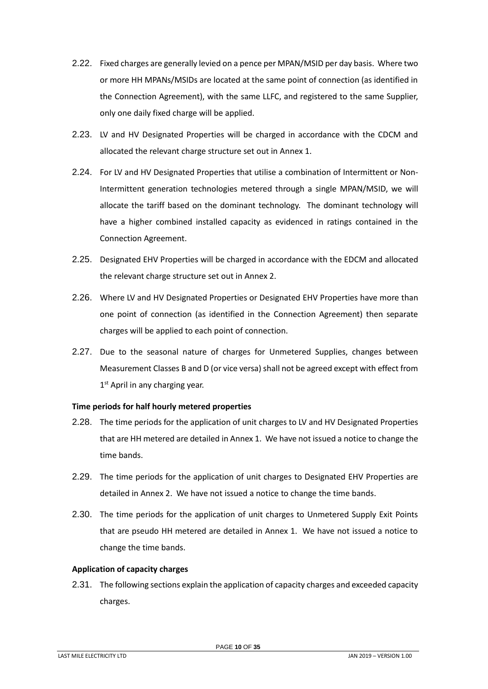- 2.22. Fixed charges are generally levied on a pence per MPAN/MSID per day basis. Where two or more HH MPANs/MSIDs are located at the same point of connection (as identified in the Connection Agreement), with the same LLFC, and registered to the same Supplier, only one daily fixed charge will be applied.
- 2.23. LV and HV Designated Properties will be charged in accordance with the CDCM and allocated the relevant charge structure set out in Annex 1.
- 2.24. For LV and HV Designated Properties that utilise a combination of Intermittent or Non-Intermittent generation technologies metered through a single MPAN/MSID, we will allocate the tariff based on the dominant technology. The dominant technology will have a higher combined installed capacity as evidenced in ratings contained in the Connection Agreement.
- 2.25. Designated EHV Properties will be charged in accordance with the EDCM and allocated the relevant charge structure set out in Annex 2.
- 2.26. Where LV and HV Designated Properties or Designated EHV Properties have more than one point of connection (as identified in the Connection Agreement) then separate charges will be applied to each point of connection.
- 2.27. Due to the seasonal nature of charges for Unmetered Supplies, changes between Measurement Classes B and D (or vice versa) shall not be agreed except with effect from 1<sup>st</sup> April in any charging year.

#### **Time periods for half hourly metered properties**

- 2.28. The time periods for the application of unit charges to LV and HV Designated Properties that are HH metered are detailed in Annex 1. We have not issued a notice to change the time bands.
- 2.29. The time periods for the application of unit charges to Designated EHV Properties are detailed in Annex 2. We have not issued a notice to change the time bands.
- 2.30. The time periods for the application of unit charges to Unmetered Supply Exit Points that are pseudo HH metered are detailed in Annex 1. We have not issued a notice to change the time bands.

#### <span id="page-9-0"></span>**Application of capacity charges**

2.31. The following sections explain the application of capacity charges and exceeded capacity charges.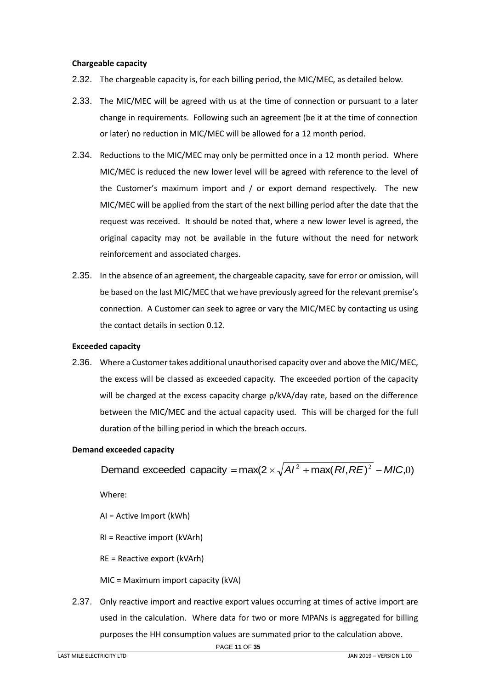#### **Chargeable capacity**

- 2.32. The chargeable capacity is, for each billing period, the MIC/MEC, as detailed below.
- 2.33. The MIC/MEC will be agreed with us at the time of connection or pursuant to a later change in requirements. Following such an agreement (be it at the time of connection or later) no reduction in MIC/MEC will be allowed for a 12 month period.
- 2.34. Reductions to the MIC/MEC may only be permitted once in a 12 month period. Where MIC/MEC is reduced the new lower level will be agreed with reference to the level of the Customer's maximum import and / or export demand respectively. The new MIC/MEC will be applied from the start of the next billing period after the date that the request was received. It should be noted that, where a new lower level is agreed, the original capacity may not be available in the future without the need for network reinforcement and associated charges.
- 2.35. In the absence of an agreement, the chargeable capacity, save for error or omission, will be based on the last MIC/MEC that we have previously agreed for the relevant premise's connection. A Customer can seek to agree or vary the MIC/MEC by contacting us using the contact details in section [0.](#page-2-0)12.

#### **Exceeded capacity**

2.36. Where a Customer takes additional unauthorised capacity over and above the MIC/MEC, the excess will be classed as exceeded capacity. The exceeded portion of the capacity will be charged at the excess capacity charge p/kVA/day rate, based on the difference between the MIC/MEC and the actual capacity used. This will be charged for the full duration of the billing period in which the breach occurs.

#### **Demand exceeded capacity**

Demand exceeded capacity =  $max(2 \times \sqrt{A}I^2 + max(RI, RE)^2 - MIC, 0)$ 

Where:

AI = Active Import (kWh)

RI = Reactive import (kVArh)

RE = Reactive export (kVArh)

MIC = Maximum import capacity (kVA)

2.37. Only reactive import and reactive export values occurring at times of active import are used in the calculation. Where data for two or more MPANs is aggregated for billing purposes the HH consumption values are summated prior to the calculation above.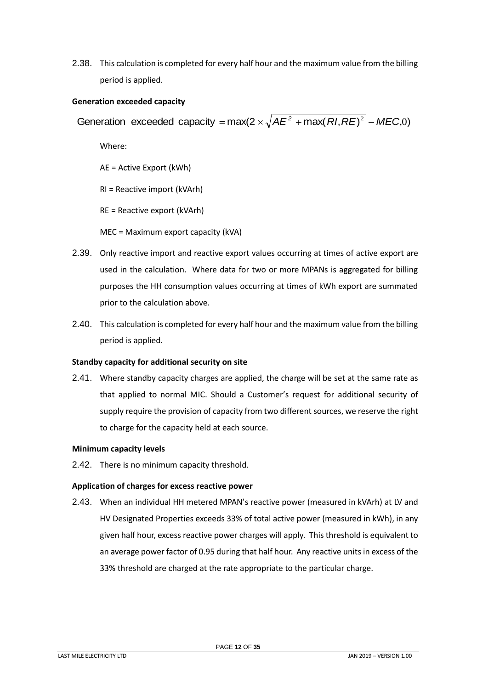2.38. This calculation is completed for every half hour and the maximum value from the billing period is applied.

## **Generation exceeded capacity**

Generation exceeded capacity =  $max(2 \times \sqrt{AE^2 + max(RI, RE)^2 - MEC,0})$ 

Where:

AE = Active Export (kWh)

RI = Reactive import (kVArh)

RE = Reactive export (kVArh)

MEC = Maximum export capacity (kVA)

- 2.39. Only reactive import and reactive export values occurring at times of active export are used in the calculation. Where data for two or more MPANs is aggregated for billing purposes the HH consumption values occurring at times of kWh export are summated prior to the calculation above.
- 2.40. This calculation is completed for every half hour and the maximum value from the billing period is applied.

# **Standby capacity for additional security on site**

2.41. Where standby capacity charges are applied, the charge will be set at the same rate as that applied to normal MIC. Should a Customer's request for additional security of supply require the provision of capacity from two different sources, we reserve the right to charge for the capacity held at each source.

#### **Minimum capacity levels**

2.42. There is no minimum capacity threshold.

# <span id="page-11-0"></span>**Application of charges for excess reactive power**

2.43. When an individual HH metered MPAN's reactive power (measured in kVArh) at LV and HV Designated Properties exceeds 33% of total active power (measured in kWh), in any given half hour, excess reactive power charges will apply. This threshold is equivalent to an average power factor of 0.95 during that half hour. Any reactive units in excess of the 33% threshold are charged at the rate appropriate to the particular charge.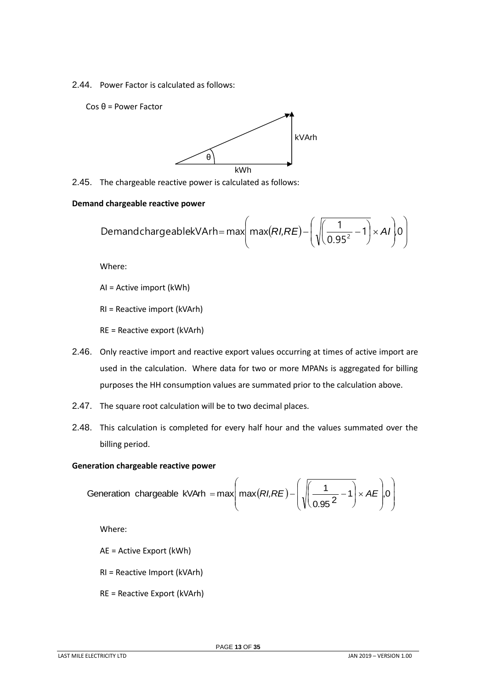2.44. Power Factor is calculated as follows:

Cos θ = Power Factor



2.45. The chargeable reactive power is calculated as follows:

#### **Demand chargeable reactive power**

d chargeable reactive power  
DemandchargeablekVArh= max
$$
\left( max(RI,RE) - \left( \sqrt{\left( \frac{1}{0.95^2} - 1 \right)} \times AI \right) 0 \right)
$$

Where:

AI = Active import (kWh)

RI = Reactive import (kVArh)

RE = Reactive export (kVArh)

- 2.46. Only reactive import and reactive export values occurring at times of active import are used in the calculation. Where data for two or more MPANs is aggregated for billing purposes the HH consumption values are summated prior to the calculation above.
- 2.47. The square root calculation will be to two decimal places.
- 2.48. This calculation is completed for every half hour and the values summated over the billing period.

#### **Generation chargeable reactive power**

Generation chargeable kVArh = max
$$
\left(\max(RI,RE) - \left(\sqrt{\frac{1}{0.95^2 - 1}} \times AE\right), 0\right)
$$

Where:

AE = Active Export (kWh)

- RI = Reactive Import (kVArh)
- RE = Reactive Export (kVArh)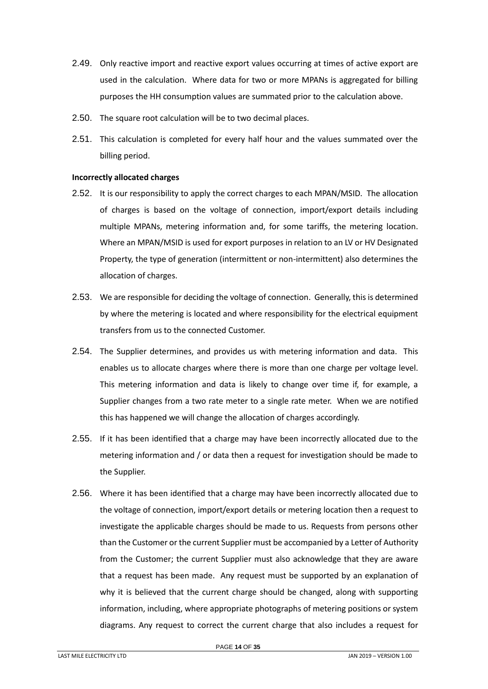- 2.49. Only reactive import and reactive export values occurring at times of active export are used in the calculation. Where data for two or more MPANs is aggregated for billing purposes the HH consumption values are summated prior to the calculation above.
- 2.50. The square root calculation will be to two decimal places.
- 2.51. This calculation is completed for every half hour and the values summated over the billing period.

### <span id="page-13-0"></span>**Incorrectly allocated charges**

- 2.52. It is our responsibility to apply the correct charges to each MPAN/MSID. The allocation of charges is based on the voltage of connection, import/export details including multiple MPANs, metering information and, for some tariffs, the metering location. Where an MPAN/MSID is used for export purposes in relation to an LV or HV Designated Property, the type of generation (intermittent or non-intermittent) also determines the allocation of charges.
- 2.53. We are responsible for deciding the voltage of connection. Generally, this is determined by where the metering is located and where responsibility for the electrical equipment transfers from us to the connected Customer.
- 2.54. The Supplier determines, and provides us with metering information and data. This enables us to allocate charges where there is more than one charge per voltage level. This metering information and data is likely to change over time if, for example, a Supplier changes from a two rate meter to a single rate meter. When we are notified this has happened we will change the allocation of charges accordingly.
- 2.55. If it has been identified that a charge may have been incorrectly allocated due to the metering information and / or data then a request for investigation should be made to the Supplier.
- 2.56. Where it has been identified that a charge may have been incorrectly allocated due to the voltage of connection, import/export details or metering location then a request to investigate the applicable charges should be made to us. Requests from persons other than the Customer or the current Supplier must be accompanied by a Letter of Authority from the Customer; the current Supplier must also acknowledge that they are aware that a request has been made. Any request must be supported by an explanation of why it is believed that the current charge should be changed, along with supporting information, including, where appropriate photographs of metering positions or system diagrams. Any request to correct the current charge that also includes a request for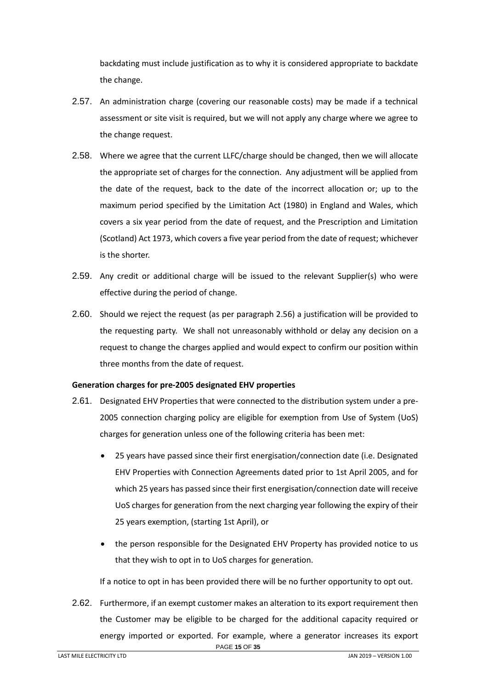backdating must include justification as to why it is considered appropriate to backdate the change.

- 2.57. An administration charge (covering our reasonable costs) may be made if a technical assessment or site visit is required, but we will not apply any charge where we agree to the change request.
- 2.58. Where we agree that the current LLFC/charge should be changed, then we will allocate the appropriate set of charges for the connection. Any adjustment will be applied from the date of the request, back to the date of the incorrect allocation or; up to the maximum period specified by the Limitation Act (1980) in England and Wales, which covers a six year period from the date of request, and the Prescription and Limitation (Scotland) Act 1973, which covers a five year period from the date of request; whichever is the shorter.
- 2.59. Any credit or additional charge will be issued to the relevant Supplier(s) who were effective during the period of change.
- 2.60. Should we reject the request (as per paragraph 2.56) a justification will be provided to the requesting party. We shall not unreasonably withhold or delay any decision on a request to change the charges applied and would expect to confirm our position within three months from the date of request.

#### <span id="page-14-0"></span>**Generation charges for pre-2005 designated EHV properties**

- 2.61. Designated EHV Properties that were connected to the distribution system under a pre-2005 connection charging policy are eligible for exemption from Use of System (UoS) charges for generation unless one of the following criteria has been met:
	- 25 years have passed since their first energisation/connection date (i.e. Designated EHV Properties with Connection Agreements dated prior to 1st April 2005, and for which 25 years has passed since their first energisation/connection date will receive UoS charges for generation from the next charging year following the expiry of their 25 years exemption, (starting 1st April), or
	- the person responsible for the Designated EHV Property has provided notice to us that they wish to opt in to UoS charges for generation.

If a notice to opt in has been provided there will be no further opportunity to opt out.

PAGE **15** OF **35** 2.62. Furthermore, if an exempt customer makes an alteration to its export requirement then the Customer may be eligible to be charged for the additional capacity required or energy imported or exported. For example, where a generator increases its export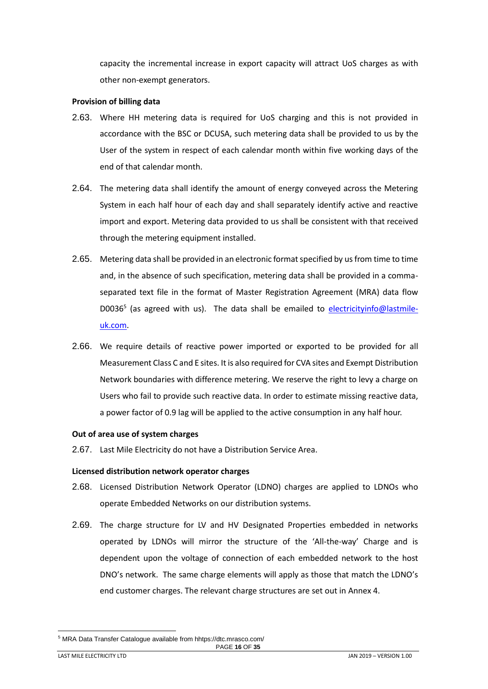capacity the incremental increase in export capacity will attract UoS charges as with other non-exempt generators.

#### <span id="page-15-0"></span>**Provision of billing data**

- 2.63. Where HH metering data is required for UoS charging and this is not provided in accordance with the BSC or DCUSA, such metering data shall be provided to us by the User of the system in respect of each calendar month within five working days of the end of that calendar month.
- 2.64. The metering data shall identify the amount of energy conveyed across the Metering System in each half hour of each day and shall separately identify active and reactive import and export. Metering data provided to us shall be consistent with that received through the metering equipment installed.
- 2.65. Metering data shall be provided in an electronic format specified by us from time to time and, in the absence of such specification, metering data shall be provided in a commaseparated text file in the format of Master Registration Agreement (MRA) data flow D0036<sup>5</sup> (as agreed with us). The data shall be emailed to [electricityinfo@lastmile](mailto:electricityinfo@energetics-uk.com)[uk.com.](mailto:electricityinfo@energetics-uk.com)
- 2.66. We require details of reactive power imported or exported to be provided for all Measurement Class C and E sites. It is also required for CVA sites and Exempt Distribution Network boundaries with difference metering. We reserve the right to levy a charge on Users who fail to provide such reactive data. In order to estimate missing reactive data, a power factor of 0.9 lag will be applied to the active consumption in any half hour.

#### <span id="page-15-1"></span>**Out of area use of system charges**

2.67. Last Mile Electricity do not have a Distribution Service Area.

#### <span id="page-15-2"></span>**Licensed distribution network operator charges**

- 2.68. Licensed Distribution Network Operator (LDNO) charges are applied to LDNOs who operate Embedded Networks on our distribution systems.
- 2.69. The charge structure for LV and HV Designated Properties embedded in networks operated by LDNOs will mirror the structure of the 'All-the-way' Charge and is dependent upon the voltage of connection of each embedded network to the host DNO's network. The same charge elements will apply as those that match the LDNO's end customer charges. The relevant charge structures are set out in Annex 4.

l

<sup>5</sup> MRA Data Transfer Catalogue available from hhtps://dtc.mrasco.com/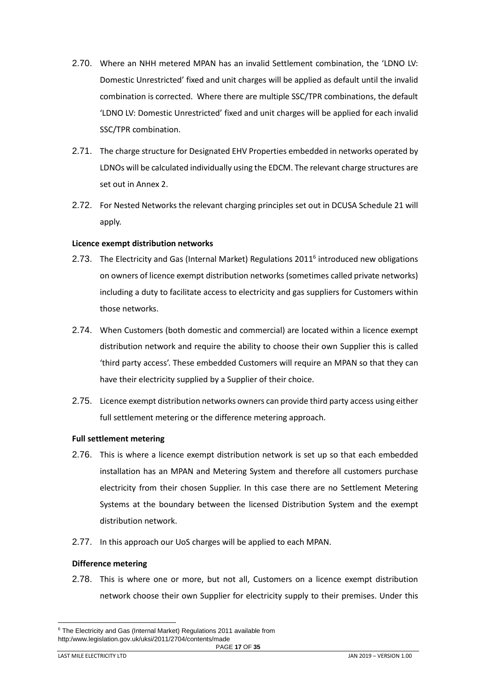- 2.70. Where an NHH metered MPAN has an invalid Settlement combination, the 'LDNO LV: Domestic Unrestricted' fixed and unit charges will be applied as default until the invalid combination is corrected. Where there are multiple SSC/TPR combinations, the default 'LDNO LV: Domestic Unrestricted' fixed and unit charges will be applied for each invalid SSC/TPR combination.
- 2.71. The charge structure for Designated EHV Properties embedded in networks operated by LDNOs will be calculated individually using the EDCM. The relevant charge structures are set out in Annex 2.
- 2.72. For Nested Networks the relevant charging principles set out in DCUSA Schedule 21 will apply.

#### <span id="page-16-0"></span>**Licence exempt distribution networks**

- 2.73. The Electricity and Gas (Internal Market) Regulations 2011<sup>6</sup> introduced new obligations on owners of licence exempt distribution networks (sometimes called private networks) including a duty to facilitate access to electricity and gas suppliers for Customers within those networks.
- 2.74. When Customers (both domestic and commercial) are located within a licence exempt distribution network and require the ability to choose their own Supplier this is called 'third party access'. These embedded Customers will require an MPAN so that they can have their electricity supplied by a Supplier of their choice.
- 2.75. Licence exempt distribution networks owners can provide third party access using either full settlement metering or the difference metering approach.

# **Full settlement metering**

- 2.76. This is where a licence exempt distribution network is set up so that each embedded installation has an MPAN and Metering System and therefore all customers purchase electricity from their chosen Supplier. In this case there are no Settlement Metering Systems at the boundary between the licensed Distribution System and the exempt distribution network.
- 2.77. In this approach our UoS charges will be applied to each MPAN.

#### **Difference metering**

2.78. This is where one or more, but not all, Customers on a licence exempt distribution network choose their own Supplier for electricity supply to their premises. Under this

l

PAGE **17** OF **35** <sup>6</sup> The Electricity and Gas (Internal Market) Regulations 2011 available from http:/www.legislation.gov.uk/uksi/2011/2704/contents/made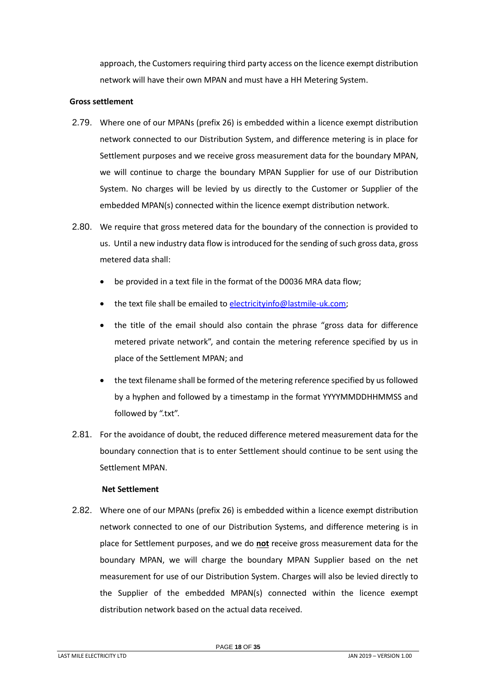approach, the Customers requiring third party access on the licence exempt distribution network will have their own MPAN and must have a HH Metering System.

#### **Gross settlement**

- 2.79. Where one of our MPANs (prefix 26) is embedded within a licence exempt distribution network connected to our Distribution System, and difference metering is in place for Settlement purposes and we receive gross measurement data for the boundary MPAN, we will continue to charge the boundary MPAN Supplier for use of our Distribution System. No charges will be levied by us directly to the Customer or Supplier of the embedded MPAN(s) connected within the licence exempt distribution network.
- 2.80. We require that gross metered data for the boundary of the connection is provided to us. Until a new industry data flow is introduced for the sending of such gross data, gross metered data shall:
	- be provided in a text file in the format of the D0036 MRA data flow;
	- the text file shall be emailed to [electricityinfo@lastmile-uk.com;](mailto:electricityinfo@energetics-uk.com)
	- the title of the email should also contain the phrase "gross data for difference metered private network", and contain the metering reference specified by us in place of the Settlement MPAN; and
	- the text filename shall be formed of the metering reference specified by us followed by a hyphen and followed by a timestamp in the format YYYYMMDDHHMMSS and followed by ".txt".
- 2.81. For the avoidance of doubt, the reduced difference metered measurement data for the boundary connection that is to enter Settlement should continue to be sent using the Settlement MPAN.

#### **Net Settlement**

2.82. Where one of our MPANs (prefix 26) is embedded within a licence exempt distribution network connected to one of our Distribution Systems, and difference metering is in place for Settlement purposes, and we do **not** receive gross measurement data for the boundary MPAN, we will charge the boundary MPAN Supplier based on the net measurement for use of our Distribution System. Charges will also be levied directly to the Supplier of the embedded MPAN(s) connected within the licence exempt distribution network based on the actual data received.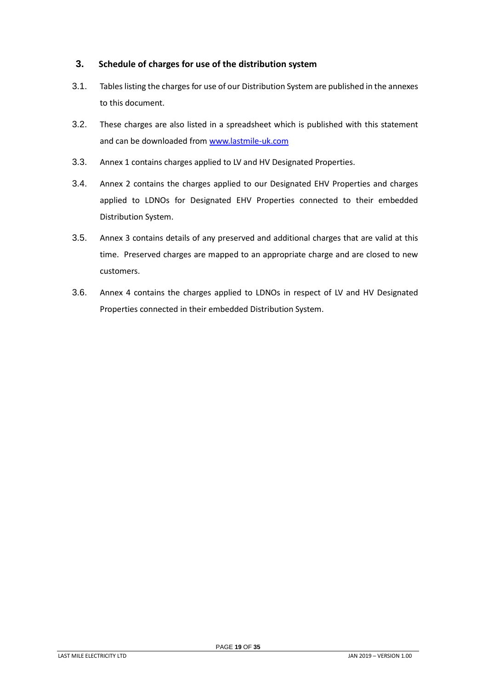# <span id="page-18-0"></span>**3. Schedule of charges for use of the distribution system**

- 3.1. Tables listing the charges for use of our Distribution System are published in the annexes to this document.
- 3.2. These charges are also listed in a spreadsheet which is published with this statement and can be downloaded from [www.lastmile-uk.com](http://www.lastmile-uk.com/)
- 3.3. Annex 1 contains charges applied to LV and HV Designated Properties.
- 3.4. Annex 2 contains the charges applied to our Designated EHV Properties and charges applied to LDNOs for Designated EHV Properties connected to their embedded Distribution System.
- 3.5. Annex 3 contains details of any preserved and additional charges that are valid at this time. Preserved charges are mapped to an appropriate charge and are closed to new customers.
- 3.6. Annex 4 contains the charges applied to LDNOs in respect of LV and HV Designated Properties connected in their embedded Distribution System.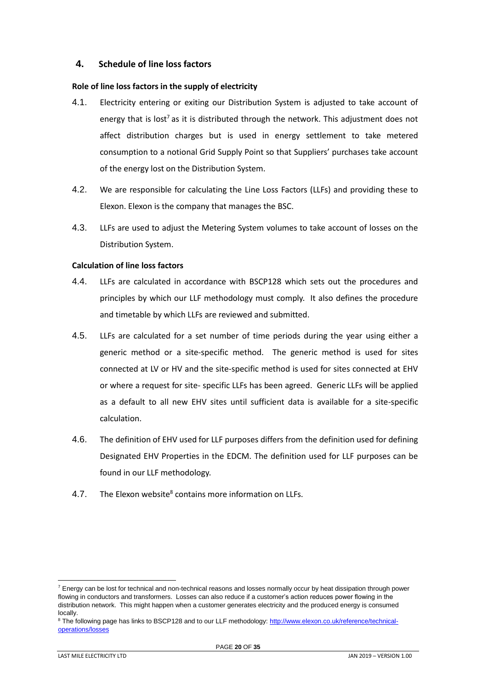## <span id="page-19-0"></span>**4. Schedule of line loss factors**

#### <span id="page-19-1"></span>**Role of line loss factors in the supply of electricity**

- 4.1. Electricity entering or exiting our Distribution System is adjusted to take account of energy that is lost<sup>7</sup> as it is distributed through the network. This adjustment does not affect distribution charges but is used in energy settlement to take metered consumption to a notional Grid Supply Point so that Suppliers' purchases take account of the energy lost on the Distribution System.
- 4.2. We are responsible for calculating the Line Loss Factors (LLFs) and providing these to Elexon. Elexon is the company that manages the BSC.
- 4.3. LLFs are used to adjust the Metering System volumes to take account of losses on the Distribution System.

## <span id="page-19-2"></span>**Calculation of line loss factors**

- 4.4. LLFs are calculated in accordance with BSCP128 which sets out the procedures and principles by which our LLF methodology must comply. It also defines the procedure and timetable by which LLFs are reviewed and submitted.
- 4.5. LLFs are calculated for a set number of time periods during the year using either a generic method or a site-specific method. The generic method is used for sites connected at LV or HV and the site-specific method is used for sites connected at EHV or where a request for site- specific LLFs has been agreed. Generic LLFs will be applied as a default to all new EHV sites until sufficient data is available for a site-specific calculation.
- 4.6. The definition of EHV used for LLF purposes differs from the definition used for defining Designated EHV Properties in the EDCM. The definition used for LLF purposes can be found in our LLF methodology.
- 4.7. The Elexon website<sup>8</sup> contains more information on LLFs.

l

 $^7$  Energy can be lost for technical and non-technical reasons and losses normally occur by heat dissipation through power flowing in conductors and transformers. Losses can also reduce if a customer's action reduces power flowing in the distribution network. This might happen when a customer generates electricity and the produced energy is consumed locally.

<sup>&</sup>lt;sup>8</sup> The following page has links to BSCP128 and to our LLF methodology[: http://www.elexon.co.uk/reference/technical](http://www.elexon.co.uk/reference/technical-operations/losses)[operations/losses](http://www.elexon.co.uk/reference/technical-operations/losses)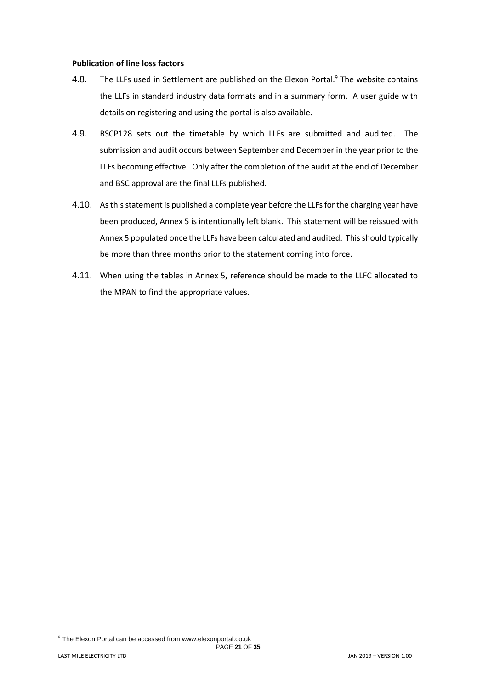#### <span id="page-20-0"></span>**Publication of line loss factors**

- 4.8. The LLFs used in Settlement are published on the Elexon Portal.<sup>9</sup> The website contains the LLFs in standard industry data formats and in a summary form. A user guide with details on registering and using the portal is also available.
- 4.9. BSCP128 sets out the timetable by which LLFs are submitted and audited. The submission and audit occurs between September and December in the year prior to the LLFs becoming effective. Only after the completion of the audit at the end of December and BSC approval are the final LLFs published.
- 4.10. As this statement is published a complete year before the LLFs for the charging year have been produced, Annex 5 is intentionally left blank. This statement will be reissued with Annex 5 populated once the LLFs have been calculated and audited. This should typically be more than three months prior to the statement coming into force.
- 4.11. When using the tables in Annex 5, reference should be made to the LLFC allocated to the MPAN to find the appropriate values.

l

<sup>&</sup>lt;sup>9</sup> The Elexon Portal can be accessed from www.elexonportal.co.uk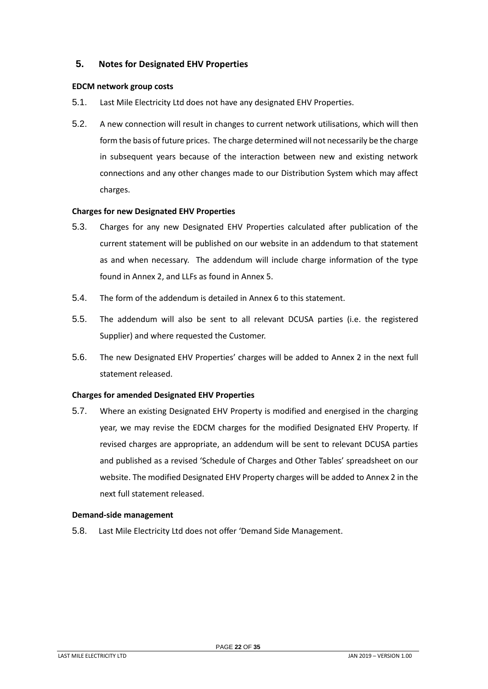# <span id="page-21-0"></span>**5. Notes for Designated EHV Properties**

#### <span id="page-21-1"></span>**EDCM network group costs**

- 5.1. Last Mile Electricity Ltd does not have any designated EHV Properties.
- 5.2. A new connection will result in changes to current network utilisations, which will then form the basis of future prices. The charge determined will not necessarily be the charge in subsequent years because of the interaction between new and existing network connections and any other changes made to our Distribution System which may affect charges.

## <span id="page-21-2"></span>**Charges for new Designated EHV Properties**

- 5.3. Charges for any new Designated EHV Properties calculated after publication of the current statement will be published on our website in an addendum to that statement as and when necessary. The addendum will include charge information of the type found in Annex 2, and LLFs as found in Annex 5.
- 5.4. The form of the addendum is detailed in Annex 6 to this statement.
- 5.5. The addendum will also be sent to all relevant DCUSA parties (i.e. the registered Supplier) and where requested the Customer.
- 5.6. The new Designated EHV Properties' charges will be added to Annex 2 in the next full statement released.

#### <span id="page-21-3"></span>**Charges for amended Designated EHV Properties**

5.7. Where an existing Designated EHV Property is modified and energised in the charging year, we may revise the EDCM charges for the modified Designated EHV Property. If revised charges are appropriate, an addendum will be sent to relevant DCUSA parties and published as a revised 'Schedule of Charges and Other Tables' spreadsheet on our website. The modified Designated EHV Property charges will be added to Annex 2 in the next full statement released.

#### <span id="page-21-4"></span>**Demand-side management**

5.8. Last Mile Electricity Ltd does not offer 'Demand Side Management.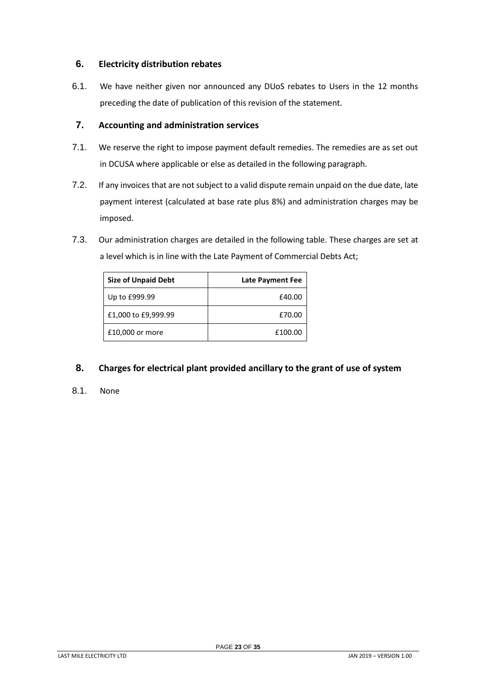# <span id="page-22-0"></span>**6. Electricity distribution rebates**

6.1. We have neither given nor announced any DUoS rebates to Users in the 12 months preceding the date of publication of this revision of the statement.

# <span id="page-22-1"></span>**7. Accounting and administration services**

- 7.1. We reserve the right to impose payment default remedies. The remedies are as set out in DCUSA where applicable or else as detailed in the following paragraph.
- 7.2. If any invoices that are not subject to a valid dispute remain unpaid on the due date, late payment interest (calculated at base rate plus 8%) and administration charges may be imposed.
- 7.3. Our administration charges are detailed in the following table. These charges are set at a level which is in line with the Late Payment of Commercial Debts Act;

| <b>Size of Unpaid Debt</b> | <b>Late Payment Fee</b> |
|----------------------------|-------------------------|
| Up to £999.99              | £40.00                  |
| £1,000 to £9,999.99        | £70.00                  |
| £10,000 or more            | £100.00                 |

# <span id="page-22-2"></span>**8. Charges for electrical plant provided ancillary to the grant of use of system**

8.1. None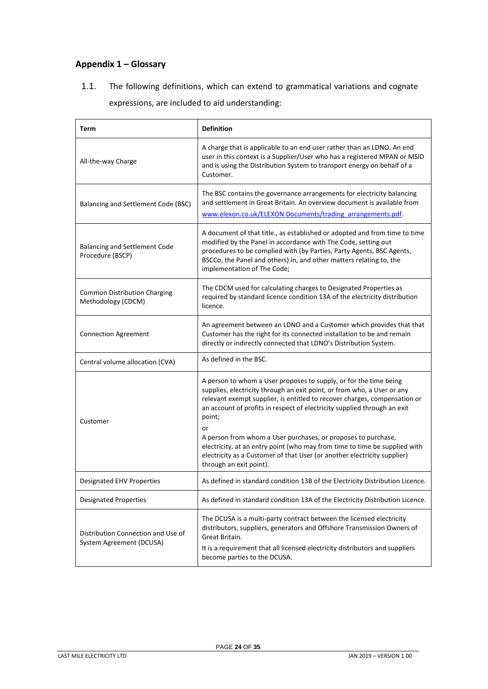# <span id="page-23-0"></span>**Appendix 1 – Glossary**

1.1. The following definitions, which can extend to grammatical variations and cognate expressions, are included to aid understanding:

| Term                                                           | <b>Definition</b>                                                                                                                                                                                                                                                                                                                                                                                                                                                                                                                                                           |
|----------------------------------------------------------------|-----------------------------------------------------------------------------------------------------------------------------------------------------------------------------------------------------------------------------------------------------------------------------------------------------------------------------------------------------------------------------------------------------------------------------------------------------------------------------------------------------------------------------------------------------------------------------|
| All-the-way Charge                                             | A charge that is applicable to an end user rather than an LDNO. An end<br>user in this context is a Supplier/User who has a registered MPAN or MSID<br>and is using the Distribution System to transport energy on behalf of a<br>Customer.                                                                                                                                                                                                                                                                                                                                 |
| Balancing and Settlement Code (BSC)                            | The BSC contains the governance arrangements for electricity balancing<br>and settlement in Great Britain. An overview document is available from<br>www.elexon.co.uk/ELEXON Documents/trading arrangements.pdf.                                                                                                                                                                                                                                                                                                                                                            |
| <b>Balancing and Settlement Code</b><br>Procedure (BSCP)       | A document of that title., as established or adopted and from time to time<br>modified by the Panel in accordance with The Code, setting out<br>procedures to be complied with (by Parties, Party Agents, BSC Agents,<br>BSCCo, the Panel and others) in, and other matters relating to, the<br>implementation of The Code;                                                                                                                                                                                                                                                 |
| <b>Common Distribution Charging</b><br>Methodology (CDCM)      | The CDCM used for calculating charges to Designated Properties as<br>required by standard licence condition 13A of the electricity distribution<br>licence.                                                                                                                                                                                                                                                                                                                                                                                                                 |
| <b>Connection Agreement</b>                                    | An agreement between an LDNO and a Customer which provides that that<br>Customer has the right for its connected installation to be and remain<br>directly or indirectly connected that LDNO's Distribution System.                                                                                                                                                                                                                                                                                                                                                         |
| Central volume allocation (CVA)                                | As defined in the BSC.                                                                                                                                                                                                                                                                                                                                                                                                                                                                                                                                                      |
| Customer                                                       | A person to whom a User proposes to supply, or for the time being<br>supplies, electricity through an exit point, or from who, a User or any<br>relevant exempt supplier, is entitled to recover charges, compensation or<br>an account of profits in respect of electricity supplied through an exit<br>point;<br>or<br>A person from whom a User purchases, or proposes to purchase,<br>electricity, at an entry point (who may from time to time be supplied with<br>electricity as a Customer of that User (or another electricity supplier)<br>through an exit point). |
| <b>Designated EHV Properties</b>                               | As defined in standard condition 13B of the Electricity Distribution Licence.                                                                                                                                                                                                                                                                                                                                                                                                                                                                                               |
| <b>Designated Properties</b>                                   | As defined in standard condition 13A of the Electricity Distribution Licence.                                                                                                                                                                                                                                                                                                                                                                                                                                                                                               |
| Distribution Connection and Use of<br>System Agreement (DCUSA) | The DCUSA is a multi-party contract between the licensed electricity<br>distributors, suppliers, generators and Offshore Transmission Owners of<br>Great Britain.<br>It is a requirement that all licensed electricity distributors and suppliers<br>become parties to the DCUSA.                                                                                                                                                                                                                                                                                           |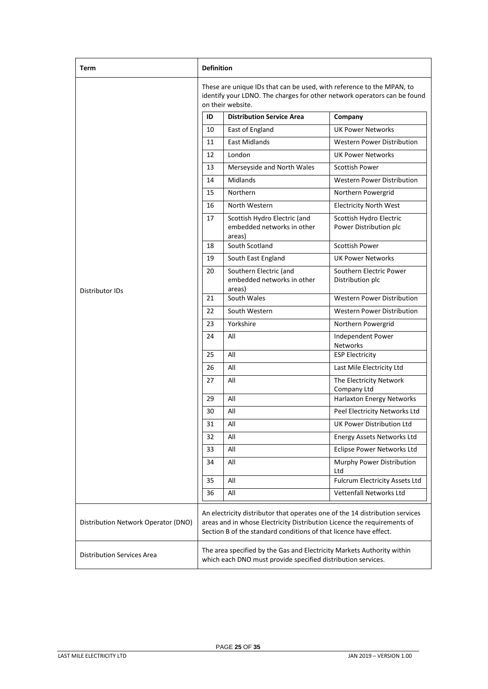| Term                                | <b>Definition</b>                                                                                                                                                                                                            |                                                                                                                                        |                                                   |
|-------------------------------------|------------------------------------------------------------------------------------------------------------------------------------------------------------------------------------------------------------------------------|----------------------------------------------------------------------------------------------------------------------------------------|---------------------------------------------------|
|                                     | These are unique IDs that can be used, with reference to the MPAN, to<br>identify your LDNO. The charges for other network operators can be found<br>on their website.                                                       |                                                                                                                                        |                                                   |
|                                     | ID                                                                                                                                                                                                                           | <b>Distribution Service Area</b>                                                                                                       | Company                                           |
|                                     | 10                                                                                                                                                                                                                           | East of England                                                                                                                        | <b>UK Power Networks</b>                          |
|                                     | 11                                                                                                                                                                                                                           | <b>East Midlands</b>                                                                                                                   | <b>Western Power Distribution</b>                 |
|                                     | 12                                                                                                                                                                                                                           | London                                                                                                                                 | <b>UK Power Networks</b>                          |
|                                     | 13                                                                                                                                                                                                                           | Merseyside and North Wales                                                                                                             | <b>Scottish Power</b>                             |
|                                     | 14                                                                                                                                                                                                                           | Midlands                                                                                                                               | Western Power Distribution                        |
|                                     | 15                                                                                                                                                                                                                           | Northern                                                                                                                               | Northern Powergrid                                |
|                                     | 16                                                                                                                                                                                                                           | North Western                                                                                                                          | Electricity North West                            |
|                                     | 17                                                                                                                                                                                                                           | Scottish Hydro Electric (and<br>embedded networks in other<br>areas)                                                                   | Scottish Hydro Electric<br>Power Distribution plc |
|                                     | 18                                                                                                                                                                                                                           | South Scotland                                                                                                                         | <b>Scottish Power</b>                             |
|                                     | 19                                                                                                                                                                                                                           | South East England                                                                                                                     | UK Power Networks                                 |
| Distributor IDs                     | 20                                                                                                                                                                                                                           | Southern Electric (and<br>embedded networks in other<br>areas)                                                                         | Southern Electric Power<br>Distribution plc       |
|                                     | 21                                                                                                                                                                                                                           | South Wales                                                                                                                            | <b>Western Power Distribution</b>                 |
|                                     | 22                                                                                                                                                                                                                           | South Western                                                                                                                          | Western Power Distribution                        |
|                                     | 23                                                                                                                                                                                                                           | Yorkshire                                                                                                                              | Northern Powergrid                                |
|                                     | 24                                                                                                                                                                                                                           | All                                                                                                                                    | Independent Power<br>Networks                     |
|                                     | 25                                                                                                                                                                                                                           | All                                                                                                                                    | <b>ESP Electricity</b>                            |
|                                     | 26                                                                                                                                                                                                                           | All                                                                                                                                    | Last Mile Electricity Ltd                         |
|                                     | 27                                                                                                                                                                                                                           | All                                                                                                                                    | The Electricity Network<br>Company Ltd            |
|                                     | 29                                                                                                                                                                                                                           | All                                                                                                                                    | Harlaxton Energy Networks                         |
|                                     | 30                                                                                                                                                                                                                           | All                                                                                                                                    | Peel Electricity Networks Ltd                     |
|                                     | 31                                                                                                                                                                                                                           | $\mathsf{All}$                                                                                                                         | UK Power Distribution Ltd                         |
|                                     | 32                                                                                                                                                                                                                           | All                                                                                                                                    | Energy Assets Networks Ltd                        |
|                                     | 33                                                                                                                                                                                                                           | All                                                                                                                                    | Eclipse Power Networks Ltd                        |
|                                     | 34                                                                                                                                                                                                                           | All                                                                                                                                    | Murphy Power Distribution<br>Ltd                  |
|                                     | 35                                                                                                                                                                                                                           | All                                                                                                                                    | Fulcrum Electricity Assets Ltd                    |
|                                     | 36                                                                                                                                                                                                                           | All                                                                                                                                    | <b>Vettenfall Networks Ltd</b>                    |
| Distribution Network Operator (DNO) | An electricity distributor that operates one of the 14 distribution services<br>areas and in whose Electricity Distribution Licence the requirements of<br>Section B of the standard conditions of that licence have effect. |                                                                                                                                        |                                                   |
| <b>Distribution Services Area</b>   |                                                                                                                                                                                                                              | The area specified by the Gas and Electricity Markets Authority within<br>which each DNO must provide specified distribution services. |                                                   |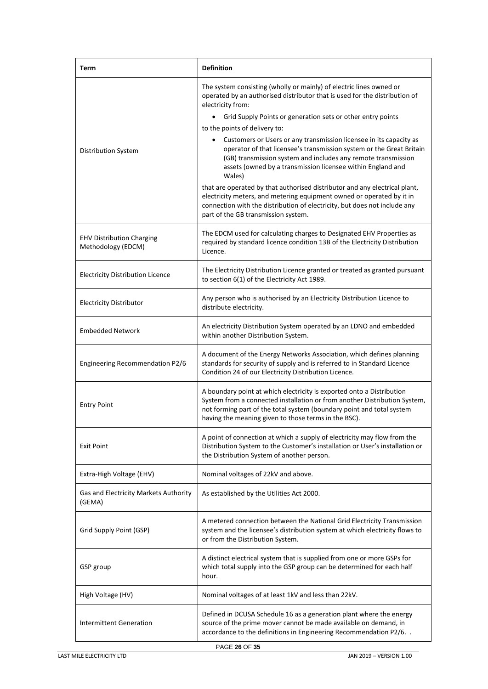| Term                                                   | <b>Definition</b>                                                                                                                                                                                                                                                                                                                                                                                                                                                                                                                                                 |
|--------------------------------------------------------|-------------------------------------------------------------------------------------------------------------------------------------------------------------------------------------------------------------------------------------------------------------------------------------------------------------------------------------------------------------------------------------------------------------------------------------------------------------------------------------------------------------------------------------------------------------------|
| <b>Distribution System</b>                             | The system consisting (wholly or mainly) of electric lines owned or<br>operated by an authorised distributor that is used for the distribution of<br>electricity from:<br>Grid Supply Points or generation sets or other entry points<br>$\bullet$<br>to the points of delivery to:<br>Customers or Users or any transmission licensee in its capacity as<br>operator of that licensee's transmission system or the Great Britain<br>(GB) transmission system and includes any remote transmission<br>assets (owned by a transmission licensee within England and |
|                                                        | Wales)<br>that are operated by that authorised distributor and any electrical plant,<br>electricity meters, and metering equipment owned or operated by it in<br>connection with the distribution of electricity, but does not include any<br>part of the GB transmission system.                                                                                                                                                                                                                                                                                 |
| <b>EHV Distribution Charging</b><br>Methodology (EDCM) | The EDCM used for calculating charges to Designated EHV Properties as<br>required by standard licence condition 13B of the Electricity Distribution<br>Licence.                                                                                                                                                                                                                                                                                                                                                                                                   |
| <b>Electricity Distribution Licence</b>                | The Electricity Distribution Licence granted or treated as granted pursuant<br>to section 6(1) of the Electricity Act 1989.                                                                                                                                                                                                                                                                                                                                                                                                                                       |
| <b>Electricity Distributor</b>                         | Any person who is authorised by an Electricity Distribution Licence to<br>distribute electricity.                                                                                                                                                                                                                                                                                                                                                                                                                                                                 |
| <b>Embedded Network</b>                                | An electricity Distribution System operated by an LDNO and embedded<br>within another Distribution System.                                                                                                                                                                                                                                                                                                                                                                                                                                                        |
| Engineering Recommendation P2/6                        | A document of the Energy Networks Association, which defines planning<br>standards for security of supply and is referred to in Standard Licence<br>Condition 24 of our Electricity Distribution Licence.                                                                                                                                                                                                                                                                                                                                                         |
| <b>Entry Point</b>                                     | A boundary point at which electricity is exported onto a Distribution<br>System from a connected installation or from another Distribution System,<br>not forming part of the total system (boundary point and total system<br>having the meaning given to those terms in the BSC).                                                                                                                                                                                                                                                                               |
| Exit Point                                             | A point of connection at which a supply of electricity may flow from the<br>Distribution System to the Customer's installation or User's installation or<br>the Distribution System of another person.                                                                                                                                                                                                                                                                                                                                                            |
| Extra-High Voltage (EHV)                               | Nominal voltages of 22kV and above.                                                                                                                                                                                                                                                                                                                                                                                                                                                                                                                               |
| Gas and Electricity Markets Authority<br>(GEMA)        | As established by the Utilities Act 2000.                                                                                                                                                                                                                                                                                                                                                                                                                                                                                                                         |
| Grid Supply Point (GSP)                                | A metered connection between the National Grid Electricity Transmission<br>system and the licensee's distribution system at which electricity flows to<br>or from the Distribution System.                                                                                                                                                                                                                                                                                                                                                                        |
| GSP group                                              | A distinct electrical system that is supplied from one or more GSPs for<br>which total supply into the GSP group can be determined for each half<br>hour.                                                                                                                                                                                                                                                                                                                                                                                                         |
| High Voltage (HV)                                      | Nominal voltages of at least 1kV and less than 22kV.                                                                                                                                                                                                                                                                                                                                                                                                                                                                                                              |
| <b>Intermittent Generation</b>                         | Defined in DCUSA Schedule 16 as a generation plant where the energy<br>source of the prime mover cannot be made available on demand, in<br>accordance to the definitions in Engineering Recommendation P2/6                                                                                                                                                                                                                                                                                                                                                       |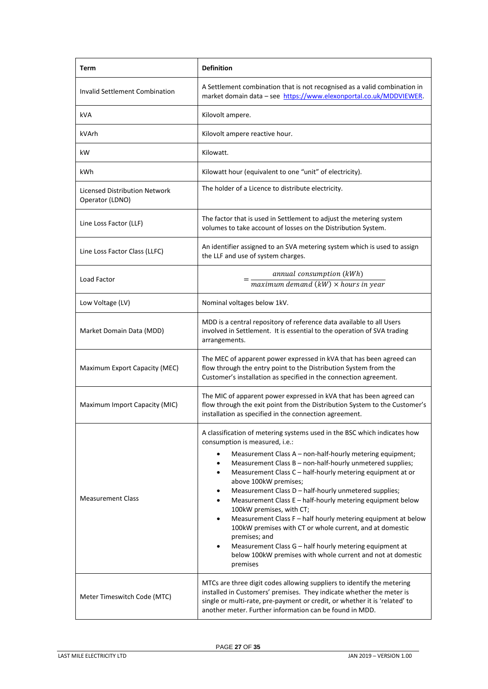| Term                                                    | <b>Definition</b>                                                                                                                                                                                                                                                                                                                                                                                                                                                                                                                                                                                                                                                                                                                                                                                                                                             |
|---------------------------------------------------------|---------------------------------------------------------------------------------------------------------------------------------------------------------------------------------------------------------------------------------------------------------------------------------------------------------------------------------------------------------------------------------------------------------------------------------------------------------------------------------------------------------------------------------------------------------------------------------------------------------------------------------------------------------------------------------------------------------------------------------------------------------------------------------------------------------------------------------------------------------------|
| Invalid Settlement Combination                          | A Settlement combination that is not recognised as a valid combination in<br>market domain data - see https://www.elexonportal.co.uk/MDDVIEWER.                                                                                                                                                                                                                                                                                                                                                                                                                                                                                                                                                                                                                                                                                                               |
| kVA                                                     | Kilovolt ampere.                                                                                                                                                                                                                                                                                                                                                                                                                                                                                                                                                                                                                                                                                                                                                                                                                                              |
| kVArh                                                   | Kilovolt ampere reactive hour.                                                                                                                                                                                                                                                                                                                                                                                                                                                                                                                                                                                                                                                                                                                                                                                                                                |
| kW.                                                     | Kilowatt.                                                                                                                                                                                                                                                                                                                                                                                                                                                                                                                                                                                                                                                                                                                                                                                                                                                     |
| kWh                                                     | Kilowatt hour (equivalent to one "unit" of electricity).                                                                                                                                                                                                                                                                                                                                                                                                                                                                                                                                                                                                                                                                                                                                                                                                      |
| <b>Licensed Distribution Network</b><br>Operator (LDNO) | The holder of a Licence to distribute electricity.                                                                                                                                                                                                                                                                                                                                                                                                                                                                                                                                                                                                                                                                                                                                                                                                            |
| Line Loss Factor (LLF)                                  | The factor that is used in Settlement to adjust the metering system<br>volumes to take account of losses on the Distribution System.                                                                                                                                                                                                                                                                                                                                                                                                                                                                                                                                                                                                                                                                                                                          |
| Line Loss Factor Class (LLFC)                           | An identifier assigned to an SVA metering system which is used to assign<br>the LLF and use of system charges.                                                                                                                                                                                                                                                                                                                                                                                                                                                                                                                                                                                                                                                                                                                                                |
| Load Factor                                             | annual consumption (kWh)<br>$maximum demand (kW) \times hours in year$                                                                                                                                                                                                                                                                                                                                                                                                                                                                                                                                                                                                                                                                                                                                                                                        |
| Low Voltage (LV)                                        | Nominal voltages below 1kV.                                                                                                                                                                                                                                                                                                                                                                                                                                                                                                                                                                                                                                                                                                                                                                                                                                   |
| Market Domain Data (MDD)                                | MDD is a central repository of reference data available to all Users<br>involved in Settlement. It is essential to the operation of SVA trading<br>arrangements.                                                                                                                                                                                                                                                                                                                                                                                                                                                                                                                                                                                                                                                                                              |
| Maximum Export Capacity (MEC)                           | The MEC of apparent power expressed in kVA that has been agreed can<br>flow through the entry point to the Distribution System from the<br>Customer's installation as specified in the connection agreement.                                                                                                                                                                                                                                                                                                                                                                                                                                                                                                                                                                                                                                                  |
| Maximum Import Capacity (MIC)                           | The MIC of apparent power expressed in kVA that has been agreed can<br>flow through the exit point from the Distribution System to the Customer's<br>installation as specified in the connection agreement.                                                                                                                                                                                                                                                                                                                                                                                                                                                                                                                                                                                                                                                   |
| <b>Measurement Class</b>                                | A classification of metering systems used in the BSC which indicates how<br>consumption is measured, i.e.:<br>Measurement Class A - non-half-hourly metering equipment;<br>$\bullet$<br>Measurement Class B - non-half-hourly unmetered supplies;<br>$\bullet$<br>Measurement Class C - half-hourly metering equipment at or<br>$\bullet$<br>above 100kW premises;<br>Measurement Class D - half-hourly unmetered supplies;<br>$\bullet$<br>Measurement Class E - half-hourly metering equipment below<br>$\bullet$<br>100kW premises, with CT;<br>Measurement Class F - half hourly metering equipment at below<br>$\bullet$<br>100kW premises with CT or whole current, and at domestic<br>premises; and<br>Measurement Class G - half hourly metering equipment at<br>$\bullet$<br>below 100kW premises with whole current and not at domestic<br>premises |
| Meter Timeswitch Code (MTC)                             | MTCs are three digit codes allowing suppliers to identify the metering<br>installed in Customers' premises. They indicate whether the meter is<br>single or multi-rate, pre-payment or credit, or whether it is 'related' to<br>another meter. Further information can be found in MDD.                                                                                                                                                                                                                                                                                                                                                                                                                                                                                                                                                                       |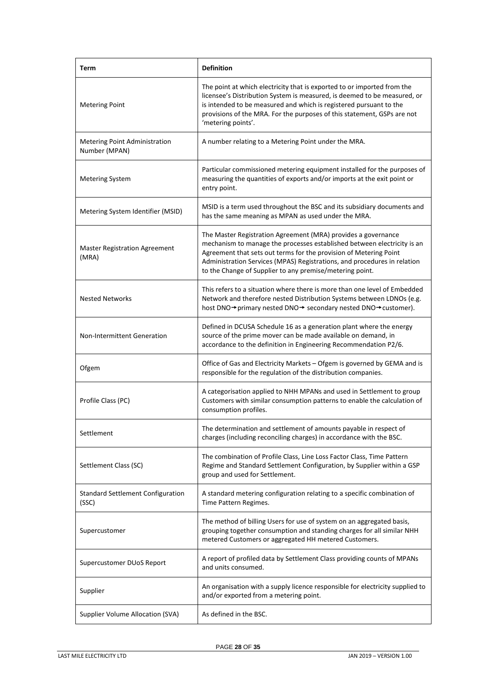| Term                                                  | <b>Definition</b>                                                                                                                                                                                                                                                                                                                                     |
|-------------------------------------------------------|-------------------------------------------------------------------------------------------------------------------------------------------------------------------------------------------------------------------------------------------------------------------------------------------------------------------------------------------------------|
| <b>Metering Point</b>                                 | The point at which electricity that is exported to or imported from the<br>licensee's Distribution System is measured, is deemed to be measured, or<br>is intended to be measured and which is registered pursuant to the<br>provisions of the MRA. For the purposes of this statement, GSPs are not<br>'metering points'.                            |
| <b>Metering Point Administration</b><br>Number (MPAN) | A number relating to a Metering Point under the MRA.                                                                                                                                                                                                                                                                                                  |
| <b>Metering System</b>                                | Particular commissioned metering equipment installed for the purposes of<br>measuring the quantities of exports and/or imports at the exit point or<br>entry point.                                                                                                                                                                                   |
| Metering System Identifier (MSID)                     | MSID is a term used throughout the BSC and its subsidiary documents and<br>has the same meaning as MPAN as used under the MRA.                                                                                                                                                                                                                        |
| <b>Master Registration Agreement</b><br>(MRA)         | The Master Registration Agreement (MRA) provides a governance<br>mechanism to manage the processes established between electricity is an<br>Agreement that sets out terms for the provision of Metering Point<br>Administration Services (MPAS) Registrations, and procedures in relation<br>to the Change of Supplier to any premise/metering point. |
| <b>Nested Networks</b>                                | This refers to a situation where there is more than one level of Embedded<br>Network and therefore nested Distribution Systems between LDNOs (e.g.<br>host DNO→primary nested DNO→ secondary nested DNO→customer).                                                                                                                                    |
| <b>Non-Intermittent Generation</b>                    | Defined in DCUSA Schedule 16 as a generation plant where the energy<br>source of the prime mover can be made available on demand, in<br>accordance to the definition in Engineering Recommendation P2/6.                                                                                                                                              |
| Ofgem                                                 | Office of Gas and Electricity Markets - Ofgem is governed by GEMA and is<br>responsible for the regulation of the distribution companies.                                                                                                                                                                                                             |
| Profile Class (PC)                                    | A categorisation applied to NHH MPANs and used in Settlement to group<br>Customers with similar consumption patterns to enable the calculation of<br>consumption profiles.                                                                                                                                                                            |
| Settlement                                            | The determination and settlement of amounts payable in respect of<br>charges (including reconciling charges) in accordance with the BSC.                                                                                                                                                                                                              |
| Settlement Class (SC)                                 | The combination of Profile Class, Line Loss Factor Class, Time Pattern<br>Regime and Standard Settlement Configuration, by Supplier within a GSP<br>group and used for Settlement.                                                                                                                                                                    |
| <b>Standard Settlement Configuration</b><br>(SSC)     | A standard metering configuration relating to a specific combination of<br>Time Pattern Regimes.                                                                                                                                                                                                                                                      |
| Supercustomer                                         | The method of billing Users for use of system on an aggregated basis,<br>grouping together consumption and standing charges for all similar NHH<br>metered Customers or aggregated HH metered Customers.                                                                                                                                              |
| Supercustomer DUoS Report                             | A report of profiled data by Settlement Class providing counts of MPANs<br>and units consumed.                                                                                                                                                                                                                                                        |
| Supplier                                              | An organisation with a supply licence responsible for electricity supplied to<br>and/or exported from a metering point.                                                                                                                                                                                                                               |
| Supplier Volume Allocation (SVA)                      | As defined in the BSC.                                                                                                                                                                                                                                                                                                                                |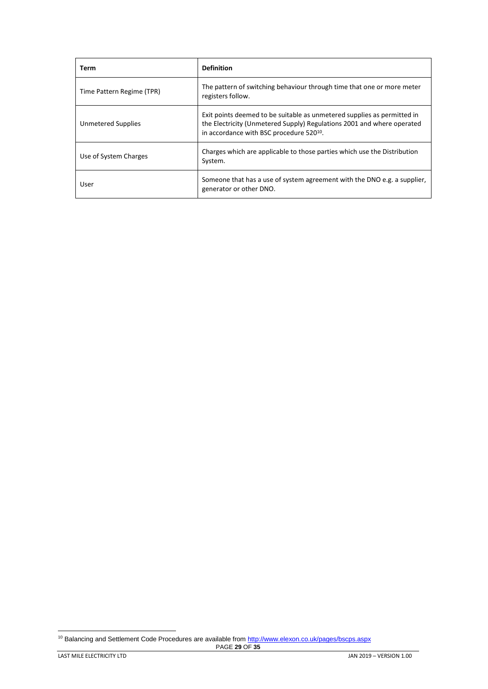| Term                      | <b>Definition</b>                                                                                                                                                                                         |
|---------------------------|-----------------------------------------------------------------------------------------------------------------------------------------------------------------------------------------------------------|
| Time Pattern Regime (TPR) | The pattern of switching behaviour through time that one or more meter<br>registers follow.                                                                                                               |
| <b>Unmetered Supplies</b> | Exit points deemed to be suitable as unmetered supplies as permitted in<br>the Electricity (Unmetered Supply) Regulations 2001 and where operated<br>in accordance with BSC procedure 520 <sup>10</sup> . |
| Use of System Charges     | Charges which are applicable to those parties which use the Distribution<br>System.                                                                                                                       |
| User                      | Someone that has a use of system agreement with the DNO e.g. a supplier,<br>generator or other DNO.                                                                                                       |

<sup>10</sup> Balancing and Settlement Code Procedures are available fro[m http://www.elexon.co.uk/pages/bscps.aspx](http://www.elexon.co.uk/pages/bscps.aspx)

l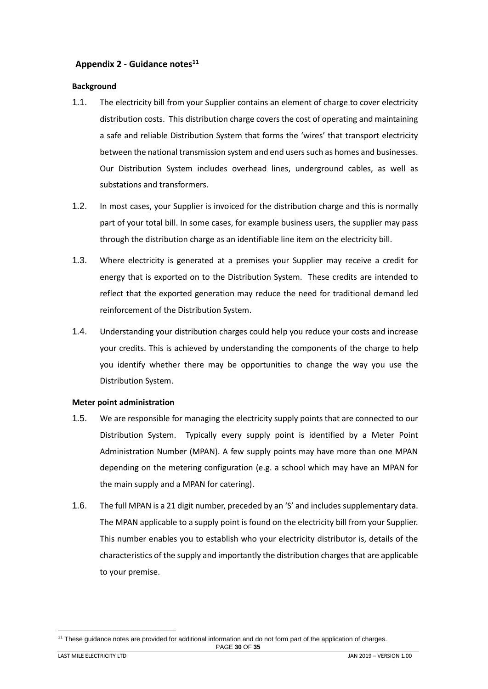# <span id="page-29-0"></span>**Appendix 2 - Guidance notes<sup>11</sup>**

#### <span id="page-29-1"></span>**Background**

- 1.1. The electricity bill from your Supplier contains an element of charge to cover electricity distribution costs. This distribution charge covers the cost of operating and maintaining a safe and reliable Distribution System that forms the 'wires' that transport electricity between the national transmission system and end users such as homes and businesses. Our Distribution System includes overhead lines, underground cables, as well as substations and transformers.
- 1.2. In most cases, your Supplier is invoiced for the distribution charge and this is normally part of your total bill. In some cases, for example business users, the supplier may pass through the distribution charge as an identifiable line item on the electricity bill.
- 1.3. Where electricity is generated at a premises your Supplier may receive a credit for energy that is exported on to the Distribution System. These credits are intended to reflect that the exported generation may reduce the need for traditional demand led reinforcement of the Distribution System.
- 1.4. Understanding your distribution charges could help you reduce your costs and increase your credits. This is achieved by understanding the components of the charge to help you identify whether there may be opportunities to change the way you use the Distribution System.

#### <span id="page-29-2"></span>**Meter point administration**

- 1.5. We are responsible for managing the electricity supply points that are connected to our Distribution System. Typically every supply point is identified by a Meter Point Administration Number (MPAN). A few supply points may have more than one MPAN depending on the metering configuration (e.g. a school which may have an MPAN for the main supply and a MPAN for catering).
- 1.6. The full MPAN is a 21 digit number, preceded by an 'S' and includes supplementary data. The MPAN applicable to a supply point is found on the electricity bill from your Supplier. This number enables you to establish who your electricity distributor is, details of the characteristics of the supply and importantly the distribution charges that are applicable to your premise.

PAGE **30** OF **35** l <sup>11</sup> These guidance notes are provided for additional information and do not form part of the application of charges.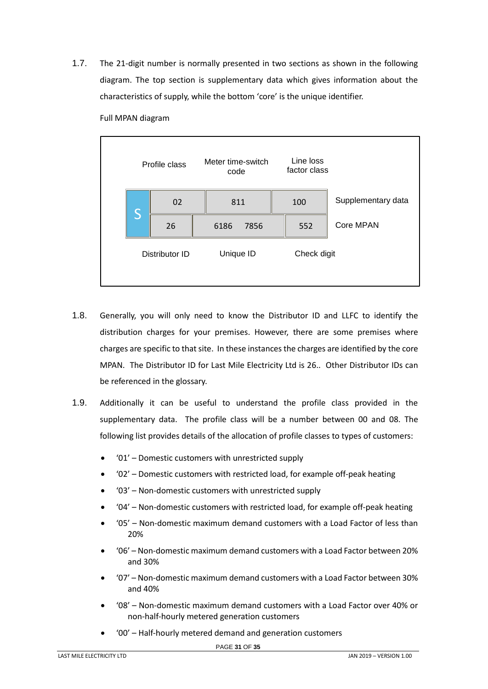1.7. The 21-digit number is normally presented in two sections as shown in the following diagram. The top section is supplementary data which gives information about the characteristics of supply, while the bottom 'core' is the unique identifier.



Full MPAN diagram

- 1.8. Generally, you will only need to know the Distributor ID and LLFC to identify the distribution charges for your premises. However, there are some premises where charges are specific to that site. In these instances the charges are identified by the core MPAN. The Distributor ID for Last Mile Electricity Ltd is 26.. Other Distributor IDs can be referenced in the glossary.
- 1.9. Additionally it can be useful to understand the profile class provided in the supplementary data. The profile class will be a number between 00 and 08. The following list provides details of the allocation of profile classes to types of customers:
	- '01' Domestic customers with unrestricted supply
	- '02' Domestic customers with restricted load, for example off-peak heating
	- '03' Non-domestic customers with unrestricted supply
	- '04' Non-domestic customers with restricted load, for example off-peak heating
	- '05' Non-domestic maximum demand customers with a Load Factor of less than 20%
	- '06' Non-domestic maximum demand customers with a Load Factor between 20% and 30%
	- '07' Non-domestic maximum demand customers with a Load Factor between 30% and 40%
	- '08' Non-domestic maximum demand customers with a Load Factor over 40% or non-half-hourly metered generation customers
	- '00' Half-hourly metered demand and generation customers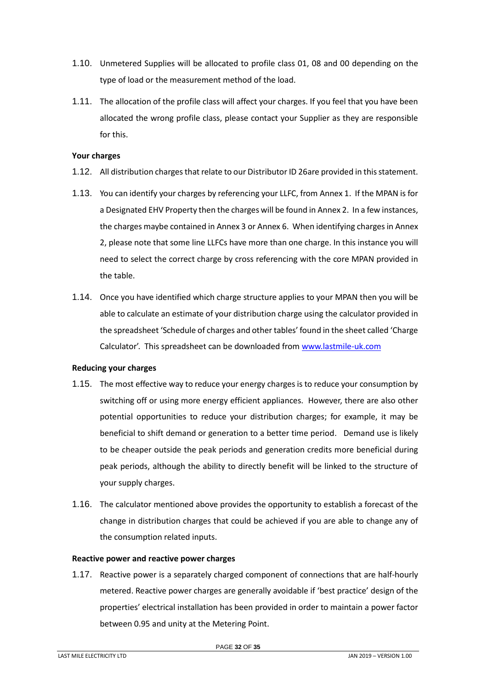- 1.10. Unmetered Supplies will be allocated to profile class 01, 08 and 00 depending on the type of load or the measurement method of the load.
- 1.11. The allocation of the profile class will affect your charges. If you feel that you have been allocated the wrong profile class, please contact your Supplier as they are responsible for this.

#### <span id="page-31-0"></span>**Your charges**

- 1.12. All distribution charges that relate to our Distributor ID 26are provided in this statement.
- 1.13. You can identify your charges by referencing your LLFC, from Annex 1. If the MPAN is for a Designated EHV Property then the charges will be found in Annex 2. In a few instances, the charges maybe contained in Annex 3 or Annex 6. When identifying charges in Annex 2, please note that some line LLFCs have more than one charge. In this instance you will need to select the correct charge by cross referencing with the core MPAN provided in the table.
- 1.14. Once you have identified which charge structure applies to your MPAN then you will be able to calculate an estimate of your distribution charge using the calculator provided in the spreadsheet 'Schedule of charges and other tables' found in the sheet called 'Charge Calculator'. This spreadsheet can be downloaded from [www.lastmile-uk.com](http://www.energetics-uk.com/our-utility-networks/energetics-electricity-networks/)

# <span id="page-31-1"></span>**Reducing your charges**

- 1.15. The most effective way to reduce your energy charges is to reduce your consumption by switching off or using more energy efficient appliances. However, there are also other potential opportunities to reduce your distribution charges; for example, it may be beneficial to shift demand or generation to a better time period. Demand use is likely to be cheaper outside the peak periods and generation credits more beneficial during peak periods, although the ability to directly benefit will be linked to the structure of your supply charges.
- 1.16. The calculator mentioned above provides the opportunity to establish a forecast of the change in distribution charges that could be achieved if you are able to change any of the consumption related inputs.

# <span id="page-31-2"></span>**Reactive power and reactive power charges**

1.17. Reactive power is a separately charged component of connections that are half-hourly metered. Reactive power charges are generally avoidable if 'best practice' design of the properties' electrical installation has been provided in order to maintain a power factor between 0.95 and unity at the Metering Point.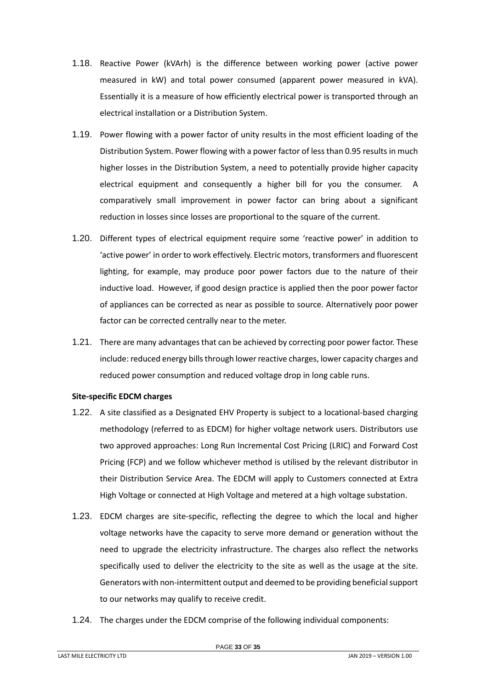- 1.18. Reactive Power (kVArh) is the difference between working power (active power measured in kW) and total power consumed (apparent power measured in kVA). Essentially it is a measure of how efficiently electrical power is transported through an electrical installation or a Distribution System.
- 1.19. Power flowing with a power factor of unity results in the most efficient loading of the Distribution System. Power flowing with a power factor of less than 0.95 results in much higher losses in the Distribution System, a need to potentially provide higher capacity electrical equipment and consequently a higher bill for you the consumer. A comparatively small improvement in power factor can bring about a significant reduction in losses since losses are proportional to the square of the current.
- 1.20. Different types of electrical equipment require some 'reactive power' in addition to 'active power' in order to work effectively. Electric motors, transformers and fluorescent lighting, for example, may produce poor power factors due to the nature of their inductive load. However, if good design practice is applied then the poor power factor of appliances can be corrected as near as possible to source. Alternatively poor power factor can be corrected centrally near to the meter.
- 1.21. There are many advantages that can be achieved by correcting poor power factor. These include: reduced energy bills through lower reactive charges, lower capacity charges and reduced power consumption and reduced voltage drop in long cable runs.

#### <span id="page-32-0"></span>**Site-specific EDCM charges**

- 1.22. A site classified as a Designated EHV Property is subject to a locational-based charging methodology (referred to as EDCM) for higher voltage network users. Distributors use two approved approaches: Long Run Incremental Cost Pricing (LRIC) and Forward Cost Pricing (FCP) and we follow whichever method is utilised by the relevant distributor in their Distribution Service Area. The EDCM will apply to Customers connected at Extra High Voltage or connected at High Voltage and metered at a high voltage substation.
- 1.23. EDCM charges are site-specific, reflecting the degree to which the local and higher voltage networks have the capacity to serve more demand or generation without the need to upgrade the electricity infrastructure. The charges also reflect the networks specifically used to deliver the electricity to the site as well as the usage at the site. Generators with non-intermittent output and deemed to be providing beneficial support to our networks may qualify to receive credit.
- 1.24. The charges under the EDCM comprise of the following individual components: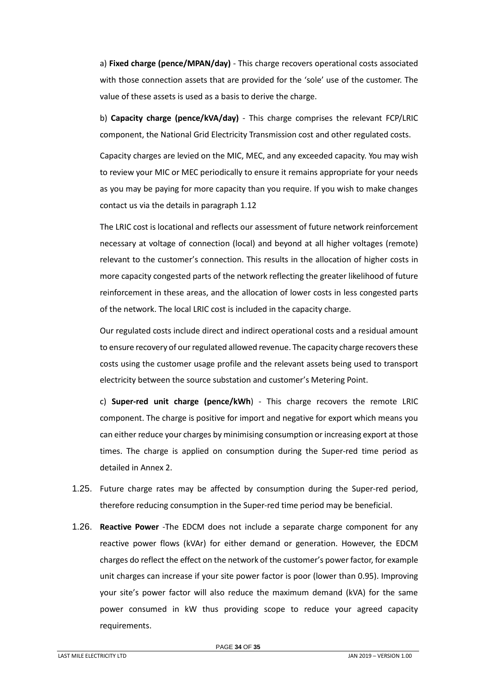a) **Fixed charge (pence/MPAN/day)** - This charge recovers operational costs associated with those connection assets that are provided for the 'sole' use of the customer. The value of these assets is used as a basis to derive the charge.

b) **Capacity charge (pence/kVA/day)** - This charge comprises the relevant FCP/LRIC component, the National Grid Electricity Transmission cost and other regulated costs.

Capacity charges are levied on the MIC, MEC, and any exceeded capacity. You may wish to review your MIC or MEC periodically to ensure it remains appropriate for your needs as you may be paying for more capacity than you require. If you wish to make changes contact us via the details in paragraph [1.12](#page-4-2)

The LRIC cost is locational and reflects our assessment of future network reinforcement necessary at voltage of connection (local) and beyond at all higher voltages (remote) relevant to the customer's connection. This results in the allocation of higher costs in more capacity congested parts of the network reflecting the greater likelihood of future reinforcement in these areas, and the allocation of lower costs in less congested parts of the network. The local LRIC cost is included in the capacity charge.

Our regulated costs include direct and indirect operational costs and a residual amount to ensure recovery of our regulated allowed revenue. The capacity charge recovers these costs using the customer usage profile and the relevant assets being used to transport electricity between the source substation and customer's Metering Point.

c) **Super-red unit charge (pence/kWh**) - This charge recovers the remote LRIC component. The charge is positive for import and negative for export which means you can either reduce your charges by minimising consumption or increasing export at those times. The charge is applied on consumption during the Super-red time period as detailed in Annex 2.

- 1.25. Future charge rates may be affected by consumption during the Super-red period, therefore reducing consumption in the Super-red time period may be beneficial.
- 1.26. **Reactive Power** -The EDCM does not include a separate charge component for any reactive power flows (kVAr) for either demand or generation. However, the EDCM charges do reflect the effect on the network of the customer's power factor, for example unit charges can increase if your site power factor is poor (lower than 0.95). Improving your site's power factor will also reduce the maximum demand (kVA) for the same power consumed in kW thus providing scope to reduce your agreed capacity requirements.